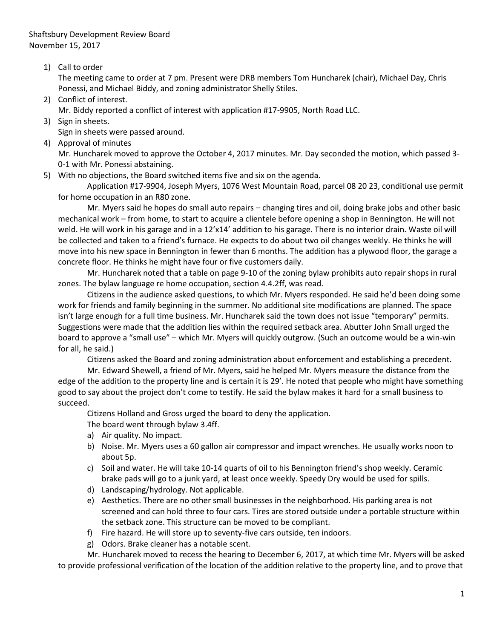1) Call to order

The meeting came to order at 7 pm. Present were DRB members Tom Huncharek (chair), Michael Day, Chris Ponessi, and Michael Biddy, and zoning administrator Shelly Stiles.

- 2) Conflict of interest. Mr. Biddy reported a conflict of interest with application #17-9905, North Road LLC.
- 3) Sign in sheets.
	- Sign in sheets were passed around.
- 4) Approval of minutes

Mr. Huncharek moved to approve the October 4, 2017 minutes. Mr. Day seconded the motion, which passed 3- 0-1 with Mr. Ponessi abstaining.

5) With no objections, the Board switched items five and six on the agenda.

Application #17-9904, Joseph Myers, 1076 West Mountain Road, parcel 08 20 23, conditional use permit for home occupation in an R80 zone.

Mr. Myers said he hopes do small auto repairs – changing tires and oil, doing brake jobs and other basic mechanical work – from home, to start to acquire a clientele before opening a shop in Bennington. He will not weld. He will work in his garage and in a 12'x14' addition to his garage. There is no interior drain. Waste oil will be collected and taken to a friend's furnace. He expects to do about two oil changes weekly. He thinks he will move into his new space in Bennington in fewer than 6 months. The addition has a plywood floor, the garage a concrete floor. He thinks he might have four or five customers daily.

Mr. Huncharek noted that a table on page 9-10 of the zoning bylaw prohibits auto repair shops in rural zones. The bylaw language re home occupation, section 4.4.2ff, was read.

Citizens in the audience asked questions, to which Mr. Myers responded. He said he'd been doing some work for friends and family beginning in the summer. No additional site modifications are planned. The space isn't large enough for a full time business. Mr. Huncharek said the town does not issue "temporary" permits. Suggestions were made that the addition lies within the required setback area. Abutter John Small urged the board to approve a "small use" – which Mr. Myers will quickly outgrow. (Such an outcome would be a win-win for all, he said.)

Citizens asked the Board and zoning administration about enforcement and establishing a precedent.

Mr. Edward Shewell, a friend of Mr. Myers, said he helped Mr. Myers measure the distance from the edge of the addition to the property line and is certain it is 29'. He noted that people who might have something good to say about the project don't come to testify. He said the bylaw makes it hard for a small business to succeed.

Citizens Holland and Gross urged the board to deny the application.

The board went through bylaw 3.4ff.

- a) Air quality. No impact.
- b) Noise. Mr. Myers uses a 60 gallon air compressor and impact wrenches. He usually works noon to about 5p.
- c) Soil and water. He will take 10-14 quarts of oil to his Bennington friend's shop weekly. Ceramic brake pads will go to a junk yard, at least once weekly. Speedy Dry would be used for spills.
- d) Landscaping/hydrology. Not applicable.
- e) Aesthetics. There are no other small businesses in the neighborhood. His parking area is not screened and can hold three to four cars. Tires are stored outside under a portable structure within the setback zone. This structure can be moved to be compliant.
- f) Fire hazard. He will store up to seventy-five cars outside, ten indoors.
- g) Odors. Brake cleaner has a notable scent.

Mr. Huncharek moved to recess the hearing to December 6, 2017, at which time Mr. Myers will be asked to provide professional verification of the location of the addition relative to the property line, and to prove that